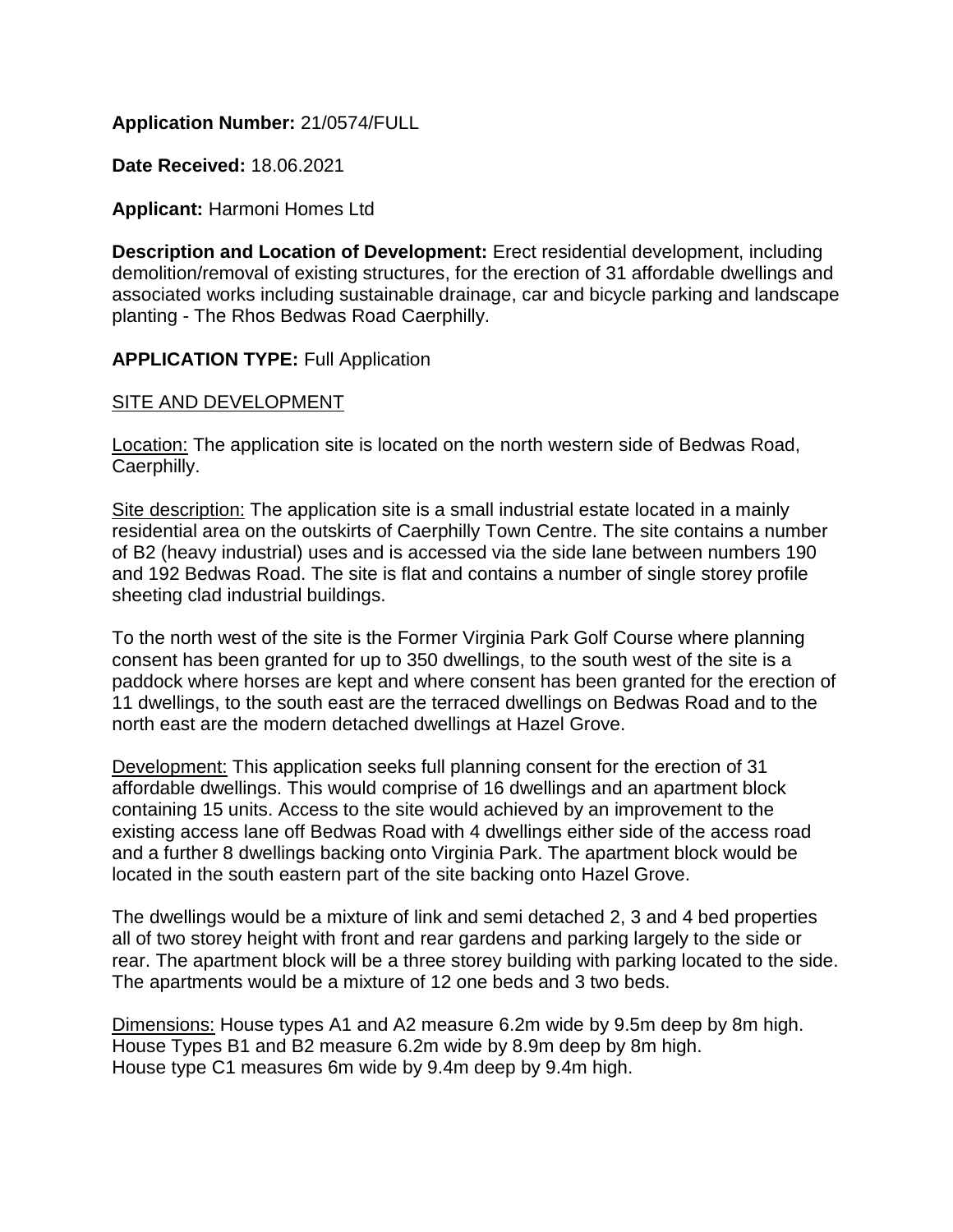# **Application Number:** 21/0574/FULL

**Date Received:** 18.06.2021

### **Applicant:** Harmoni Homes Ltd

**Description and Location of Development:** Erect residential development, including demolition/removal of existing structures, for the erection of 31 affordable dwellings and associated works including sustainable drainage, car and bicycle parking and landscape planting - The Rhos Bedwas Road Caerphilly.

### **APPLICATION TYPE: Full Application**

### SITE AND DEVELOPMENT

Location: The application site is located on the north western side of Bedwas Road, Caerphilly.

Site description: The application site is a small industrial estate located in a mainly residential area on the outskirts of Caerphilly Town Centre. The site contains a number of B2 (heavy industrial) uses and is accessed via the side lane between numbers 190 and 192 Bedwas Road. The site is flat and contains a number of single storey profile sheeting clad industrial buildings.

To the north west of the site is the Former Virginia Park Golf Course where planning consent has been granted for up to 350 dwellings, to the south west of the site is a paddock where horses are kept and where consent has been granted for the erection of 11 dwellings, to the south east are the terraced dwellings on Bedwas Road and to the north east are the modern detached dwellings at Hazel Grove.

Development: This application seeks full planning consent for the erection of 31 affordable dwellings. This would comprise of 16 dwellings and an apartment block containing 15 units. Access to the site would achieved by an improvement to the existing access lane off Bedwas Road with 4 dwellings either side of the access road and a further 8 dwellings backing onto Virginia Park. The apartment block would be located in the south eastern part of the site backing onto Hazel Grove.

The dwellings would be a mixture of link and semi detached 2, 3 and 4 bed properties all of two storey height with front and rear gardens and parking largely to the side or rear. The apartment block will be a three storey building with parking located to the side. The apartments would be a mixture of 12 one beds and 3 two beds.

Dimensions: House types A1 and A2 measure 6.2m wide by 9.5m deep by 8m high. House Types B1 and B2 measure 6.2m wide by 8.9m deep by 8m high. House type C1 measures 6m wide by 9.4m deep by 9.4m high.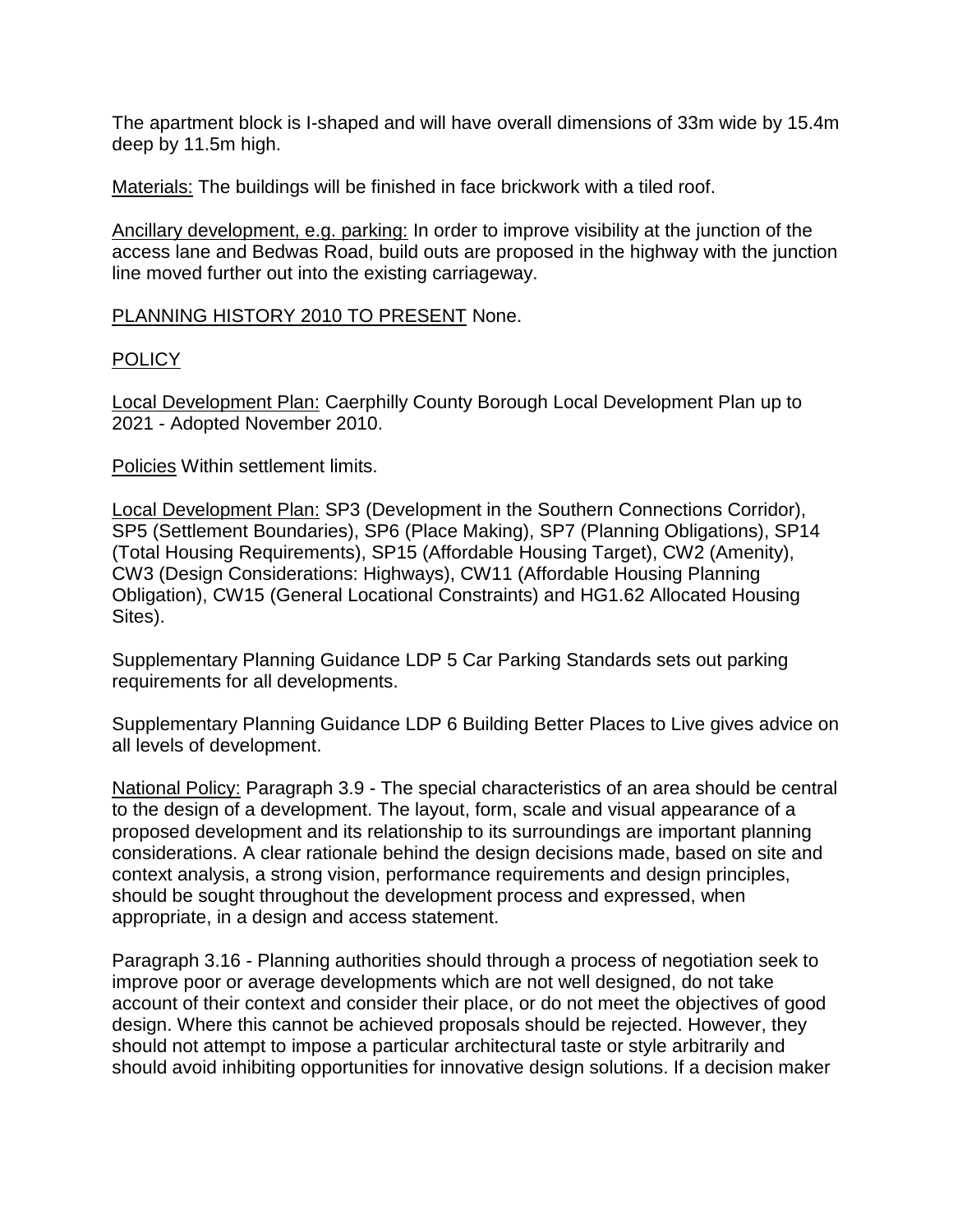The apartment block is I-shaped and will have overall dimensions of 33m wide by 15.4m deep by 11.5m high.

Materials: The buildings will be finished in face brickwork with a tiled roof.

Ancillary development, e.g. parking: In order to improve visibility at the junction of the access lane and Bedwas Road, build outs are proposed in the highway with the junction line moved further out into the existing carriageway.

PLANNING HISTORY 2010 TO PRESENT None.

# **POLICY**

Local Development Plan: Caerphilly County Borough Local Development Plan up to 2021 - Adopted November 2010.

Policies Within settlement limits.

Local Development Plan: SP3 (Development in the Southern Connections Corridor), SP5 (Settlement Boundaries), SP6 (Place Making), SP7 (Planning Obligations), SP14 (Total Housing Requirements), SP15 (Affordable Housing Target), CW2 (Amenity), CW3 (Design Considerations: Highways), CW11 (Affordable Housing Planning Obligation), CW15 (General Locational Constraints) and HG1.62 Allocated Housing Sites).

Supplementary Planning Guidance LDP 5 Car Parking Standards sets out parking requirements for all developments.

Supplementary Planning Guidance LDP 6 Building Better Places to Live gives advice on all levels of development.

National Policy: Paragraph 3.9 - The special characteristics of an area should be central to the design of a development. The layout, form, scale and visual appearance of a proposed development and its relationship to its surroundings are important planning considerations. A clear rationale behind the design decisions made, based on site and context analysis, a strong vision, performance requirements and design principles, should be sought throughout the development process and expressed, when appropriate, in a design and access statement.

Paragraph 3.16 - Planning authorities should through a process of negotiation seek to improve poor or average developments which are not well designed, do not take account of their context and consider their place, or do not meet the objectives of good design. Where this cannot be achieved proposals should be rejected. However, they should not attempt to impose a particular architectural taste or style arbitrarily and should avoid inhibiting opportunities for innovative design solutions. If a decision maker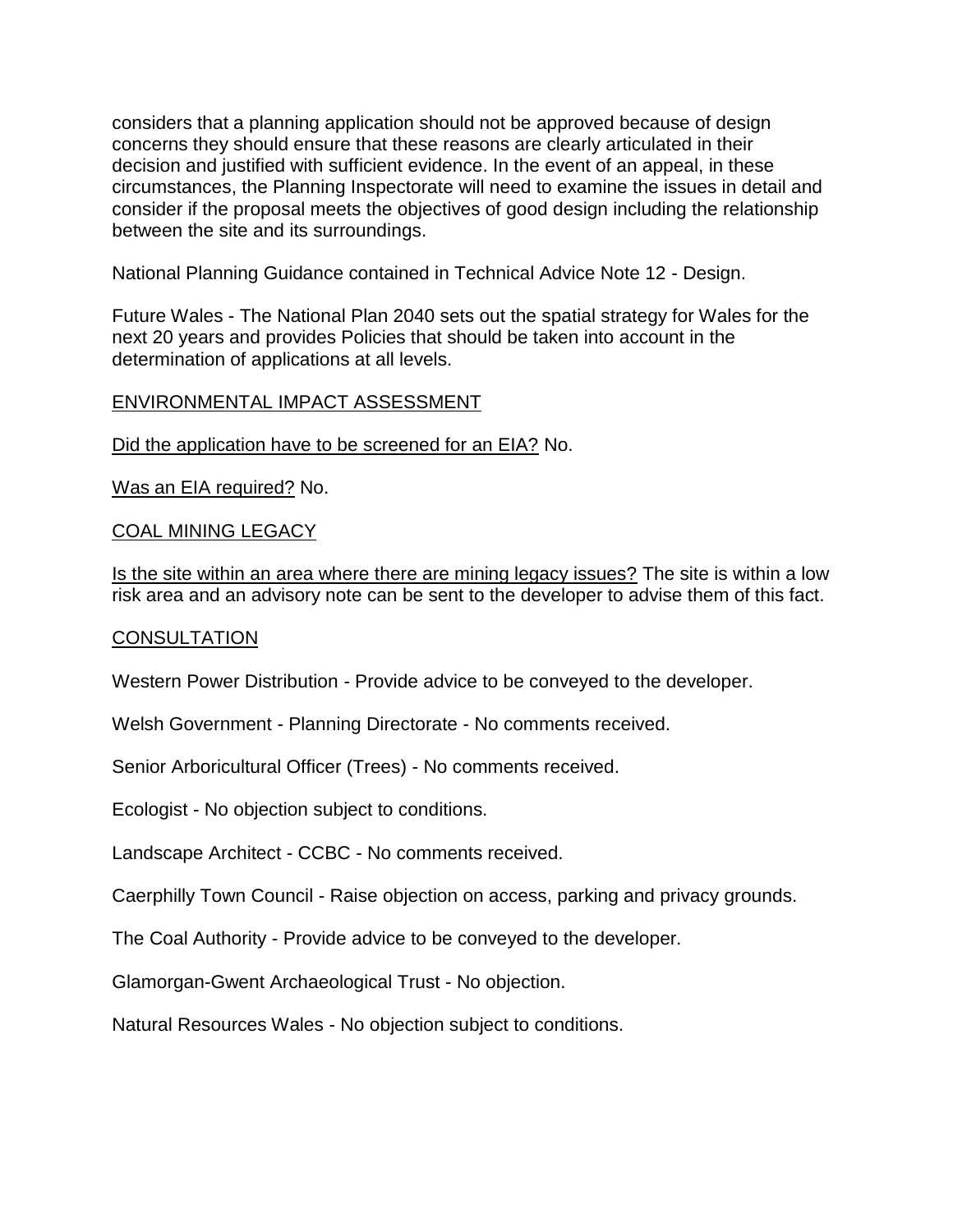considers that a planning application should not be approved because of design concerns they should ensure that these reasons are clearly articulated in their decision and justified with sufficient evidence. In the event of an appeal, in these circumstances, the Planning Inspectorate will need to examine the issues in detail and consider if the proposal meets the objectives of good design including the relationship between the site and its surroundings.

National Planning Guidance contained in Technical Advice Note 12 - Design.

Future Wales - The National Plan 2040 sets out the spatial strategy for Wales for the next 20 years and provides Policies that should be taken into account in the determination of applications at all levels.

## ENVIRONMENTAL IMPACT ASSESSMENT

Did the application have to be screened for an EIA? No.

Was an EIA required? No.

### COAL MINING LEGACY

Is the site within an area where there are mining legacy issues? The site is within a low risk area and an advisory note can be sent to the developer to advise them of this fact.

## **CONSULTATION**

Western Power Distribution - Provide advice to be conveyed to the developer.

Welsh Government - Planning Directorate - No comments received.

Senior Arboricultural Officer (Trees) - No comments received.

Ecologist - No objection subject to conditions.

Landscape Architect - CCBC - No comments received.

Caerphilly Town Council - Raise objection on access, parking and privacy grounds.

The Coal Authority - Provide advice to be conveyed to the developer.

Glamorgan-Gwent Archaeological Trust - No objection.

Natural Resources Wales - No objection subject to conditions.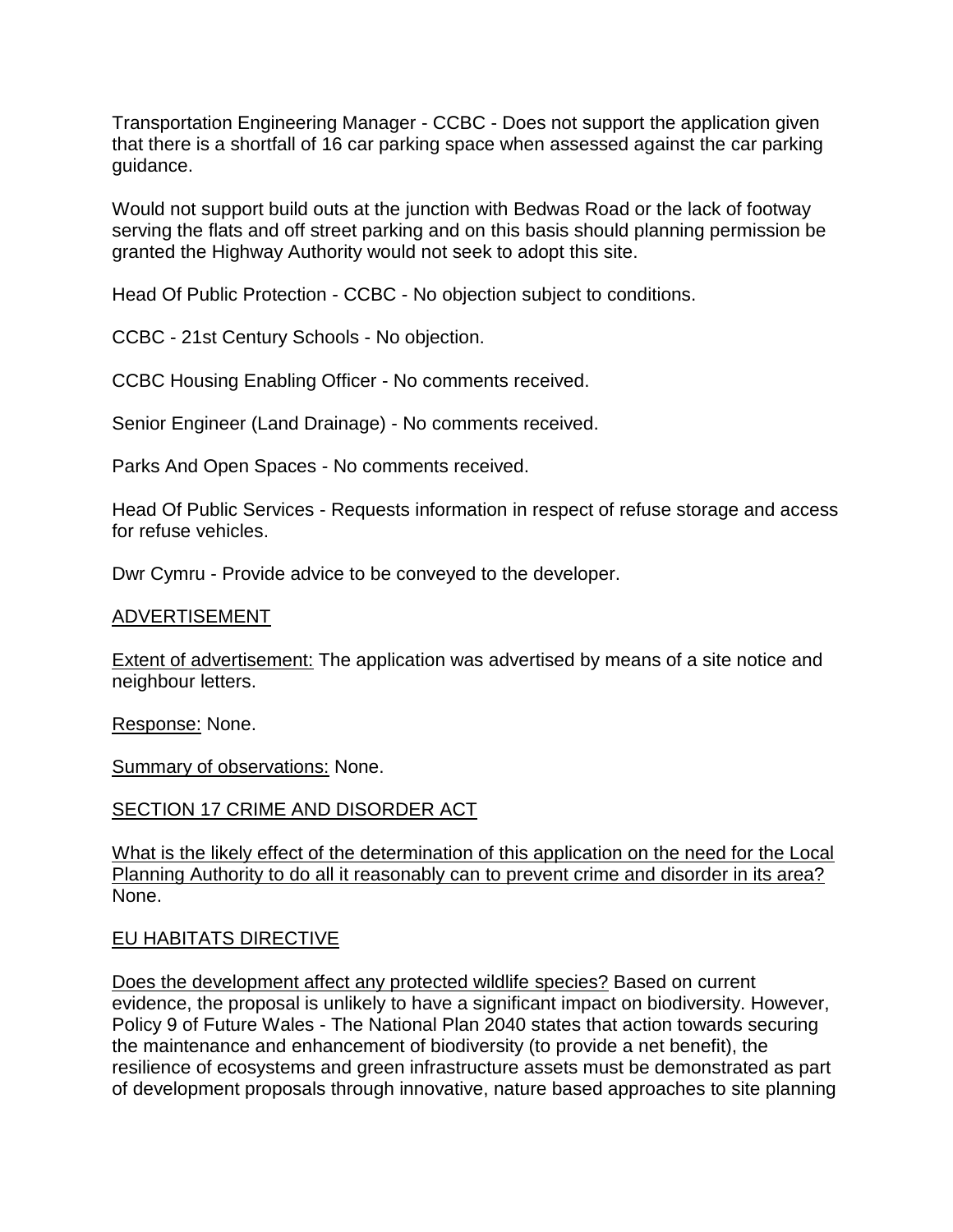Transportation Engineering Manager - CCBC - Does not support the application given that there is a shortfall of 16 car parking space when assessed against the car parking guidance.

Would not support build outs at the junction with Bedwas Road or the lack of footway serving the flats and off street parking and on this basis should planning permission be granted the Highway Authority would not seek to adopt this site.

Head Of Public Protection - CCBC - No objection subject to conditions.

CCBC - 21st Century Schools - No objection.

CCBC Housing Enabling Officer - No comments received.

Senior Engineer (Land Drainage) - No comments received.

Parks And Open Spaces - No comments received.

Head Of Public Services - Requests information in respect of refuse storage and access for refuse vehicles.

Dwr Cymru - Provide advice to be conveyed to the developer.

#### ADVERTISEMENT

Extent of advertisement: The application was advertised by means of a site notice and neighbour letters.

Response: None.

Summary of observations: None.

SECTION 17 CRIME AND DISORDER ACT

What is the likely effect of the determination of this application on the need for the Local Planning Authority to do all it reasonably can to prevent crime and disorder in its area? None.

#### EU HABITATS DIRECTIVE

Does the development affect any protected wildlife species? Based on current evidence, the proposal is unlikely to have a significant impact on biodiversity. However, Policy 9 of Future Wales - The National Plan 2040 states that action towards securing the maintenance and enhancement of biodiversity (to provide a net benefit), the resilience of ecosystems and green infrastructure assets must be demonstrated as part of development proposals through innovative, nature based approaches to site planning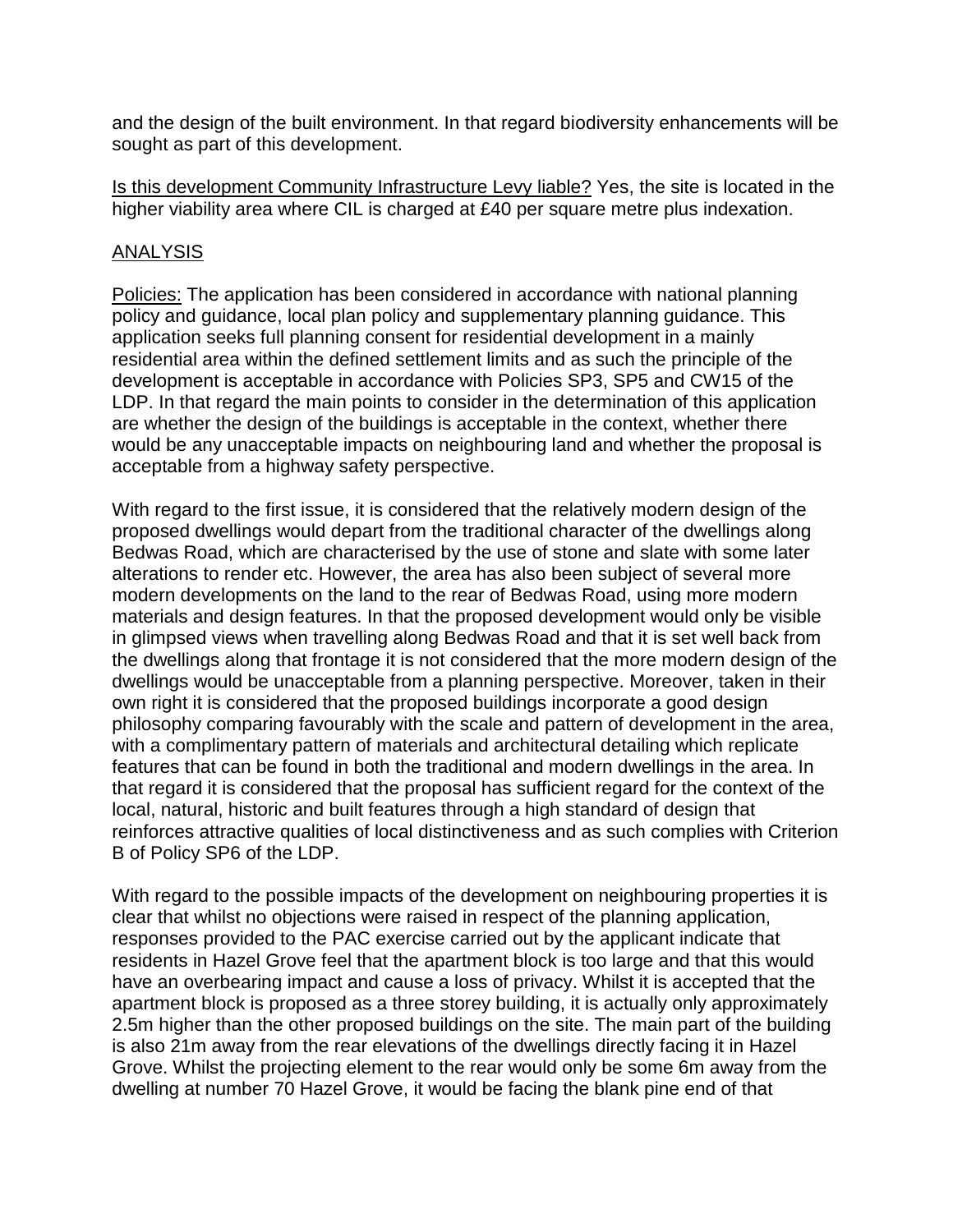and the design of the built environment. In that regard biodiversity enhancements will be sought as part of this development.

Is this development Community Infrastructure Levy liable? Yes, the site is located in the higher viability area where CIL is charged at £40 per square metre plus indexation.

## ANALYSIS

Policies: The application has been considered in accordance with national planning policy and guidance, local plan policy and supplementary planning guidance. This application seeks full planning consent for residential development in a mainly residential area within the defined settlement limits and as such the principle of the development is acceptable in accordance with Policies SP3, SP5 and CW15 of the LDP. In that regard the main points to consider in the determination of this application are whether the design of the buildings is acceptable in the context, whether there would be any unacceptable impacts on neighbouring land and whether the proposal is acceptable from a highway safety perspective.

With regard to the first issue, it is considered that the relatively modern design of the proposed dwellings would depart from the traditional character of the dwellings along Bedwas Road, which are characterised by the use of stone and slate with some later alterations to render etc. However, the area has also been subject of several more modern developments on the land to the rear of Bedwas Road, using more modern materials and design features. In that the proposed development would only be visible in glimpsed views when travelling along Bedwas Road and that it is set well back from the dwellings along that frontage it is not considered that the more modern design of the dwellings would be unacceptable from a planning perspective. Moreover, taken in their own right it is considered that the proposed buildings incorporate a good design philosophy comparing favourably with the scale and pattern of development in the area, with a complimentary pattern of materials and architectural detailing which replicate features that can be found in both the traditional and modern dwellings in the area. In that regard it is considered that the proposal has sufficient regard for the context of the local, natural, historic and built features through a high standard of design that reinforces attractive qualities of local distinctiveness and as such complies with Criterion B of Policy SP6 of the LDP.

With regard to the possible impacts of the development on neighbouring properties it is clear that whilst no objections were raised in respect of the planning application, responses provided to the PAC exercise carried out by the applicant indicate that residents in Hazel Grove feel that the apartment block is too large and that this would have an overbearing impact and cause a loss of privacy. Whilst it is accepted that the apartment block is proposed as a three storey building, it is actually only approximately 2.5m higher than the other proposed buildings on the site. The main part of the building is also 21m away from the rear elevations of the dwellings directly facing it in Hazel Grove. Whilst the projecting element to the rear would only be some 6m away from the dwelling at number 70 Hazel Grove, it would be facing the blank pine end of that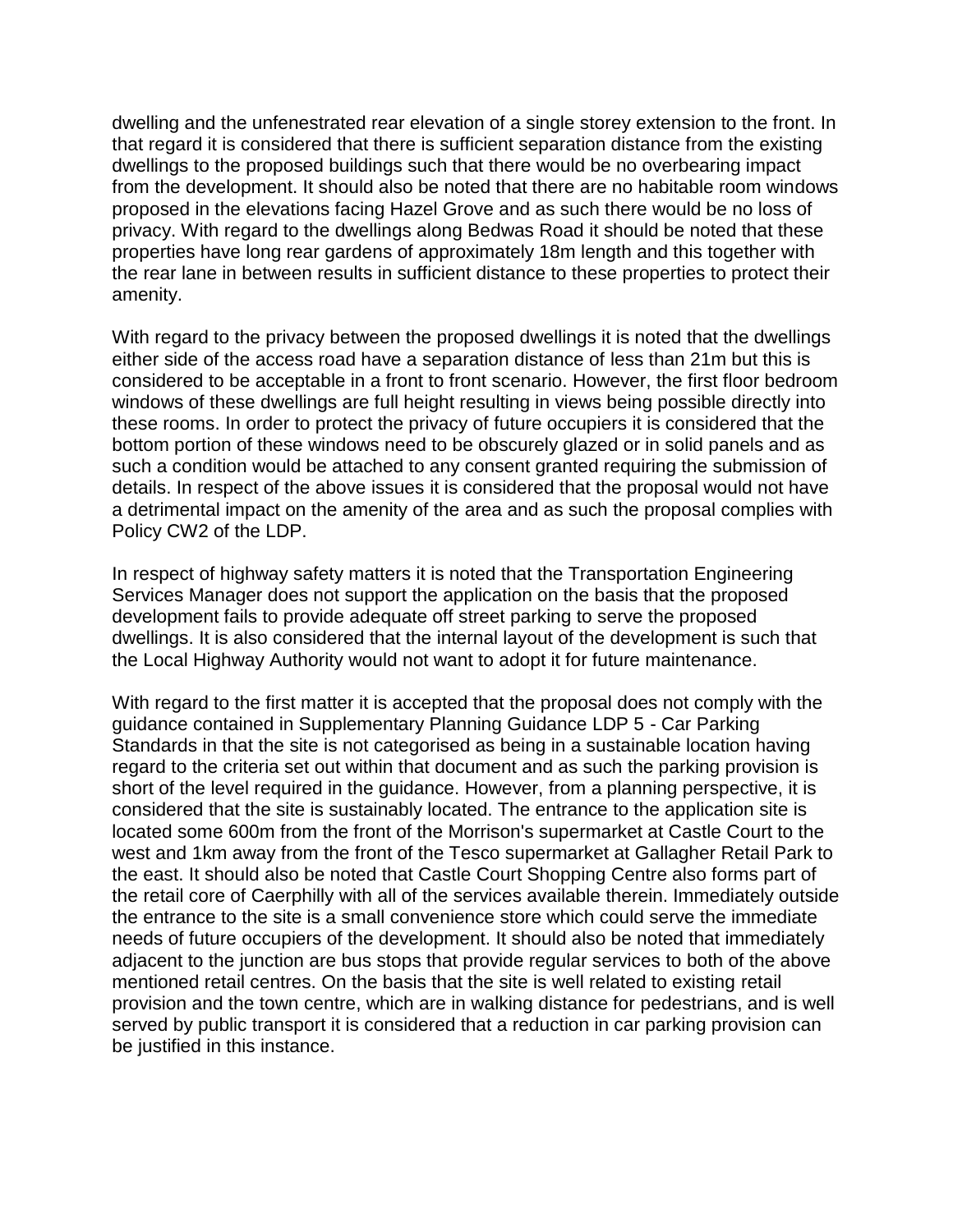dwelling and the unfenestrated rear elevation of a single storey extension to the front. In that regard it is considered that there is sufficient separation distance from the existing dwellings to the proposed buildings such that there would be no overbearing impact from the development. It should also be noted that there are no habitable room windows proposed in the elevations facing Hazel Grove and as such there would be no loss of privacy. With regard to the dwellings along Bedwas Road it should be noted that these properties have long rear gardens of approximately 18m length and this together with the rear lane in between results in sufficient distance to these properties to protect their amenity.

With regard to the privacy between the proposed dwellings it is noted that the dwellings either side of the access road have a separation distance of less than 21m but this is considered to be acceptable in a front to front scenario. However, the first floor bedroom windows of these dwellings are full height resulting in views being possible directly into these rooms. In order to protect the privacy of future occupiers it is considered that the bottom portion of these windows need to be obscurely glazed or in solid panels and as such a condition would be attached to any consent granted requiring the submission of details. In respect of the above issues it is considered that the proposal would not have a detrimental impact on the amenity of the area and as such the proposal complies with Policy CW2 of the LDP.

In respect of highway safety matters it is noted that the Transportation Engineering Services Manager does not support the application on the basis that the proposed development fails to provide adequate off street parking to serve the proposed dwellings. It is also considered that the internal layout of the development is such that the Local Highway Authority would not want to adopt it for future maintenance.

With regard to the first matter it is accepted that the proposal does not comply with the guidance contained in Supplementary Planning Guidance LDP 5 - Car Parking Standards in that the site is not categorised as being in a sustainable location having regard to the criteria set out within that document and as such the parking provision is short of the level required in the guidance. However, from a planning perspective, it is considered that the site is sustainably located. The entrance to the application site is located some 600m from the front of the Morrison's supermarket at Castle Court to the west and 1km away from the front of the Tesco supermarket at Gallagher Retail Park to the east. It should also be noted that Castle Court Shopping Centre also forms part of the retail core of Caerphilly with all of the services available therein. Immediately outside the entrance to the site is a small convenience store which could serve the immediate needs of future occupiers of the development. It should also be noted that immediately adjacent to the junction are bus stops that provide regular services to both of the above mentioned retail centres. On the basis that the site is well related to existing retail provision and the town centre, which are in walking distance for pedestrians, and is well served by public transport it is considered that a reduction in car parking provision can be justified in this instance.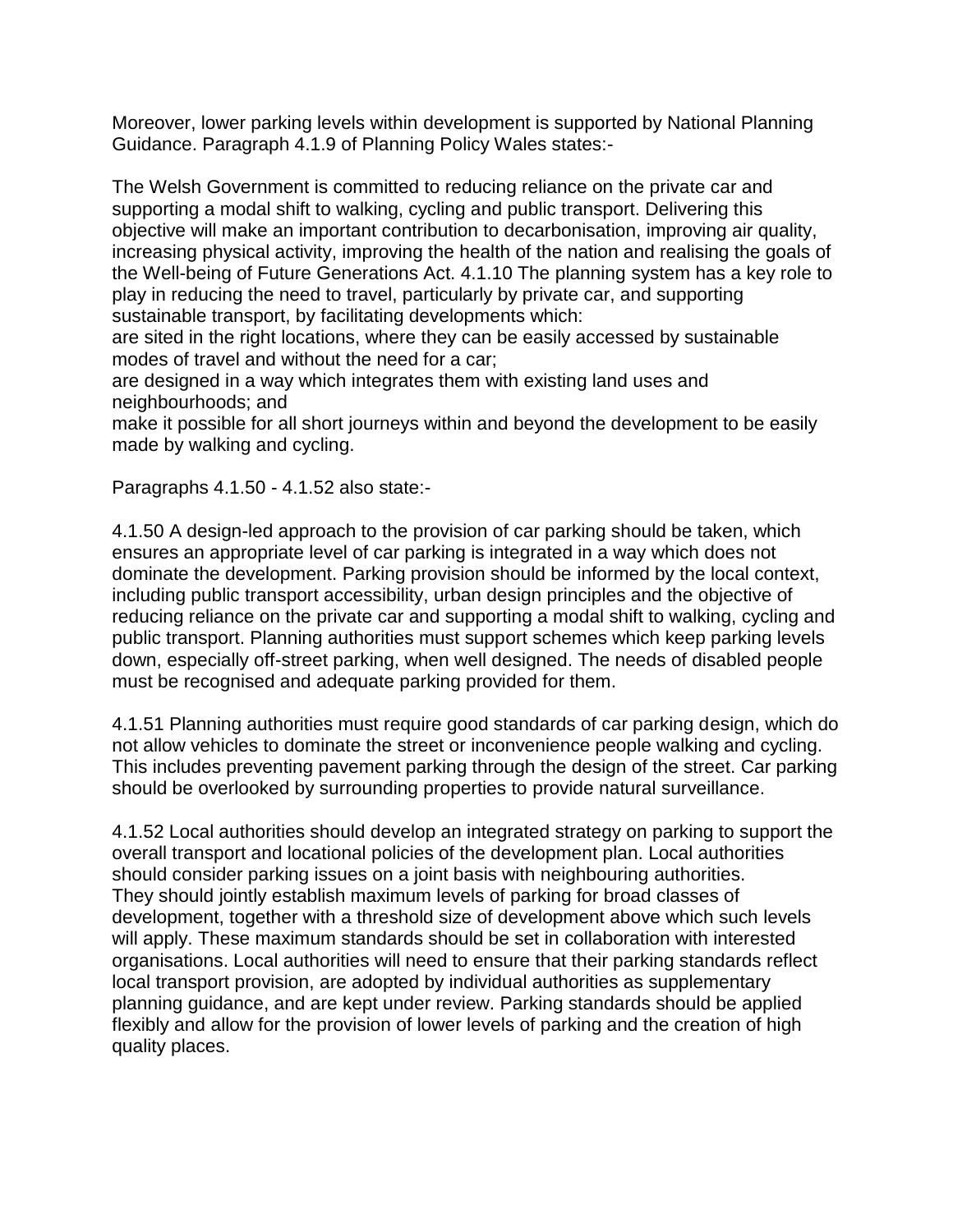Moreover, lower parking levels within development is supported by National Planning Guidance. Paragraph 4.1.9 of Planning Policy Wales states:-

The Welsh Government is committed to reducing reliance on the private car and supporting a modal shift to walking, cycling and public transport. Delivering this objective will make an important contribution to decarbonisation, improving air quality, increasing physical activity, improving the health of the nation and realising the goals of the Well-being of Future Generations Act. 4.1.10 The planning system has a key role to play in reducing the need to travel, particularly by private car, and supporting sustainable transport, by facilitating developments which:

are sited in the right locations, where they can be easily accessed by sustainable modes of travel and without the need for a car;

are designed in a way which integrates them with existing land uses and neighbourhoods; and

make it possible for all short journeys within and beyond the development to be easily made by walking and cycling.

Paragraphs 4.1.50 - 4.1.52 also state:-

4.1.50 A design-led approach to the provision of car parking should be taken, which ensures an appropriate level of car parking is integrated in a way which does not dominate the development. Parking provision should be informed by the local context, including public transport accessibility, urban design principles and the objective of reducing reliance on the private car and supporting a modal shift to walking, cycling and public transport. Planning authorities must support schemes which keep parking levels down, especially off-street parking, when well designed. The needs of disabled people must be recognised and adequate parking provided for them.

4.1.51 Planning authorities must require good standards of car parking design, which do not allow vehicles to dominate the street or inconvenience people walking and cycling. This includes preventing pavement parking through the design of the street. Car parking should be overlooked by surrounding properties to provide natural surveillance.

4.1.52 Local authorities should develop an integrated strategy on parking to support the overall transport and locational policies of the development plan. Local authorities should consider parking issues on a joint basis with neighbouring authorities. They should jointly establish maximum levels of parking for broad classes of development, together with a threshold size of development above which such levels will apply. These maximum standards should be set in collaboration with interested organisations. Local authorities will need to ensure that their parking standards reflect local transport provision, are adopted by individual authorities as supplementary planning guidance, and are kept under review. Parking standards should be applied flexibly and allow for the provision of lower levels of parking and the creation of high quality places.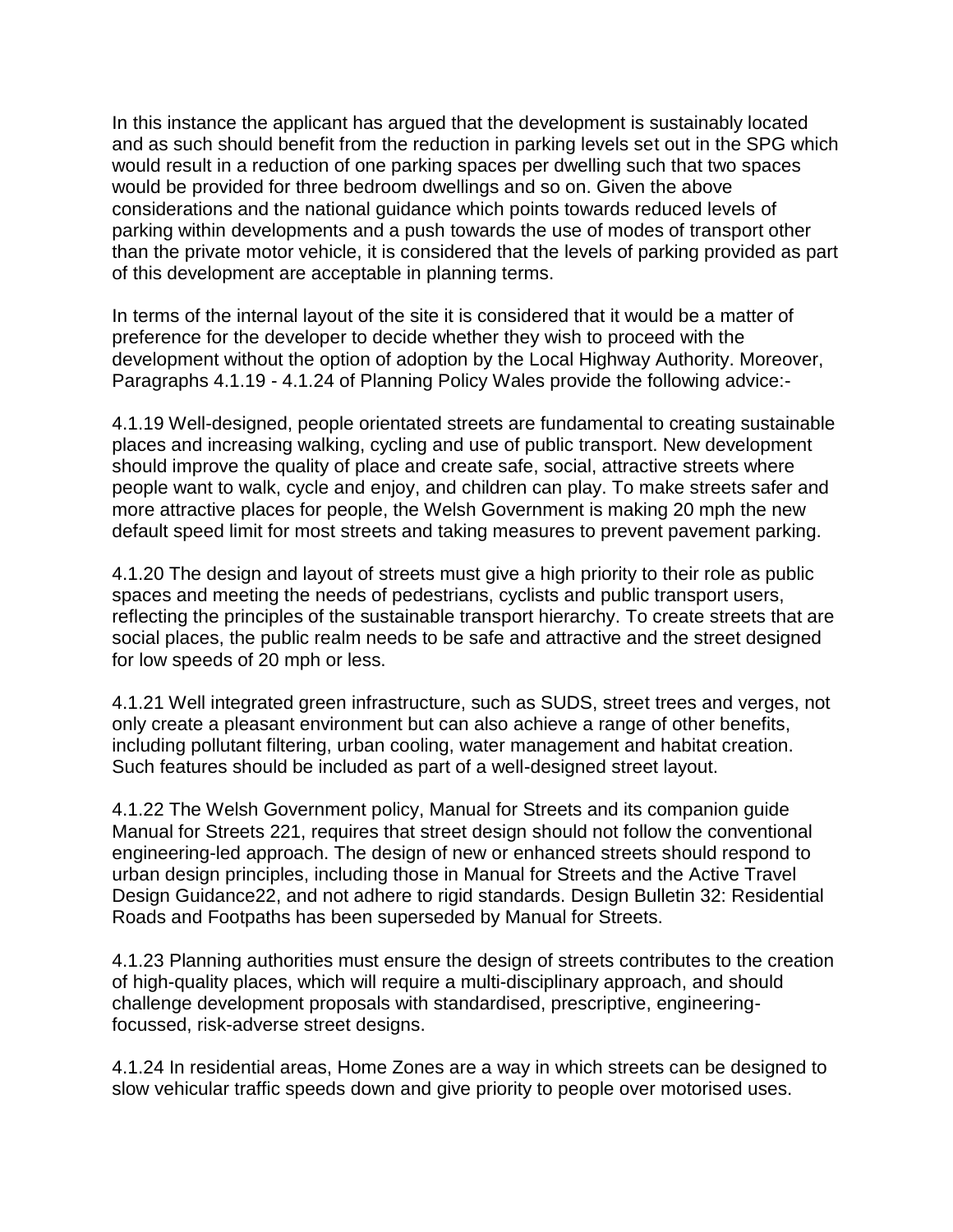In this instance the applicant has argued that the development is sustainably located and as such should benefit from the reduction in parking levels set out in the SPG which would result in a reduction of one parking spaces per dwelling such that two spaces would be provided for three bedroom dwellings and so on. Given the above considerations and the national guidance which points towards reduced levels of parking within developments and a push towards the use of modes of transport other than the private motor vehicle, it is considered that the levels of parking provided as part of this development are acceptable in planning terms.

In terms of the internal layout of the site it is considered that it would be a matter of preference for the developer to decide whether they wish to proceed with the development without the option of adoption by the Local Highway Authority. Moreover, Paragraphs 4.1.19 - 4.1.24 of Planning Policy Wales provide the following advice:-

4.1.19 Well-designed, people orientated streets are fundamental to creating sustainable places and increasing walking, cycling and use of public transport. New development should improve the quality of place and create safe, social, attractive streets where people want to walk, cycle and enjoy, and children can play. To make streets safer and more attractive places for people, the Welsh Government is making 20 mph the new default speed limit for most streets and taking measures to prevent pavement parking.

4.1.20 The design and layout of streets must give a high priority to their role as public spaces and meeting the needs of pedestrians, cyclists and public transport users, reflecting the principles of the sustainable transport hierarchy. To create streets that are social places, the public realm needs to be safe and attractive and the street designed for low speeds of 20 mph or less.

4.1.21 Well integrated green infrastructure, such as SUDS, street trees and verges, not only create a pleasant environment but can also achieve a range of other benefits, including pollutant filtering, urban cooling, water management and habitat creation. Such features should be included as part of a well-designed street layout.

4.1.22 The Welsh Government policy, Manual for Streets and its companion guide Manual for Streets 221, requires that street design should not follow the conventional engineering-led approach. The design of new or enhanced streets should respond to urban design principles, including those in Manual for Streets and the Active Travel Design Guidance22, and not adhere to rigid standards. Design Bulletin 32: Residential Roads and Footpaths has been superseded by Manual for Streets.

4.1.23 Planning authorities must ensure the design of streets contributes to the creation of high-quality places, which will require a multi-disciplinary approach, and should challenge development proposals with standardised, prescriptive, engineeringfocussed, risk-adverse street designs.

4.1.24 In residential areas, Home Zones are a way in which streets can be designed to slow vehicular traffic speeds down and give priority to people over motorised uses.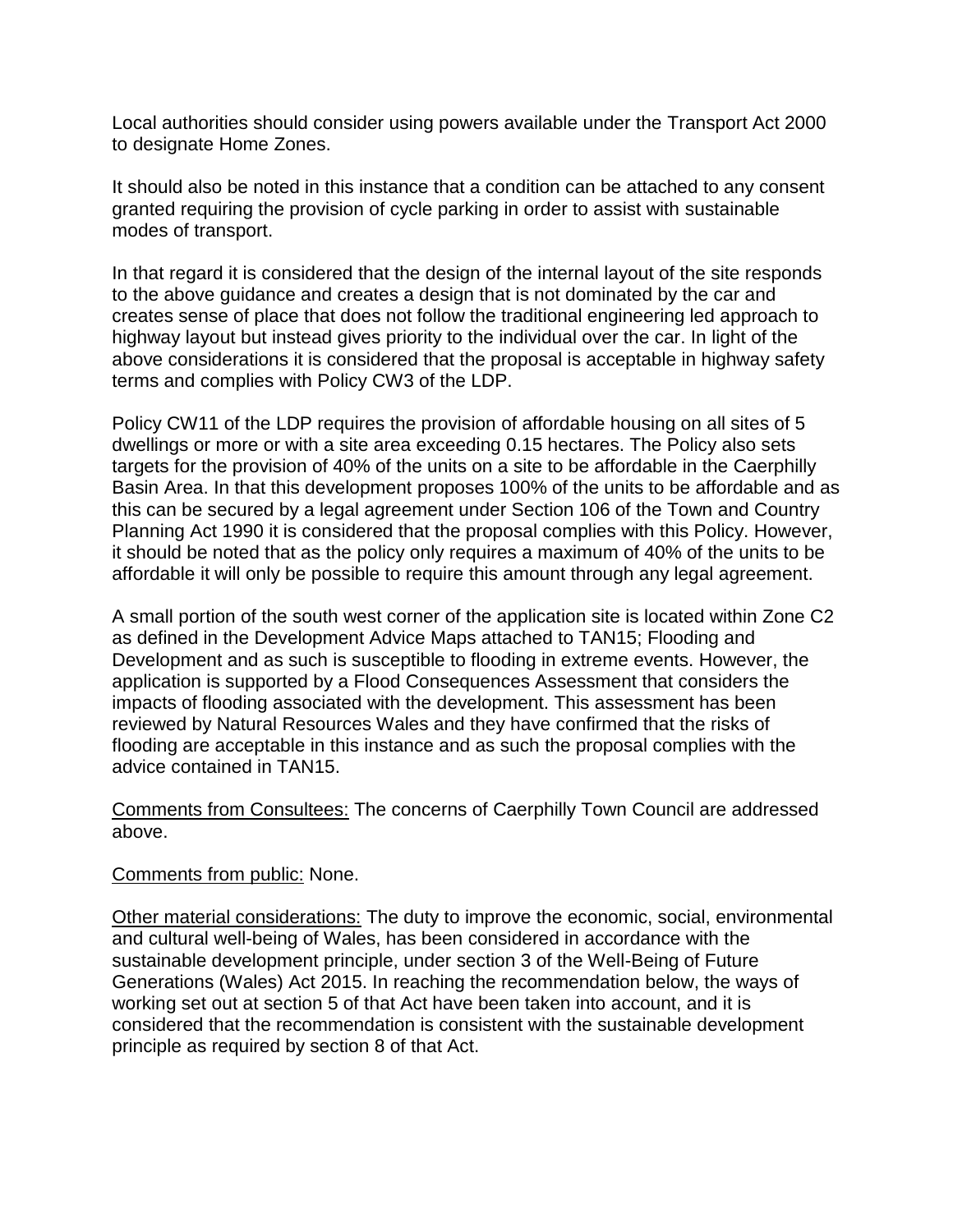Local authorities should consider using powers available under the Transport Act 2000 to designate Home Zones.

It should also be noted in this instance that a condition can be attached to any consent granted requiring the provision of cycle parking in order to assist with sustainable modes of transport.

In that regard it is considered that the design of the internal layout of the site responds to the above guidance and creates a design that is not dominated by the car and creates sense of place that does not follow the traditional engineering led approach to highway layout but instead gives priority to the individual over the car. In light of the above considerations it is considered that the proposal is acceptable in highway safety terms and complies with Policy CW3 of the LDP.

Policy CW11 of the LDP requires the provision of affordable housing on all sites of 5 dwellings or more or with a site area exceeding 0.15 hectares. The Policy also sets targets for the provision of 40% of the units on a site to be affordable in the Caerphilly Basin Area. In that this development proposes 100% of the units to be affordable and as this can be secured by a legal agreement under Section 106 of the Town and Country Planning Act 1990 it is considered that the proposal complies with this Policy. However, it should be noted that as the policy only requires a maximum of 40% of the units to be affordable it will only be possible to require this amount through any legal agreement.

A small portion of the south west corner of the application site is located within Zone C2 as defined in the Development Advice Maps attached to TAN15; Flooding and Development and as such is susceptible to flooding in extreme events. However, the application is supported by a Flood Consequences Assessment that considers the impacts of flooding associated with the development. This assessment has been reviewed by Natural Resources Wales and they have confirmed that the risks of flooding are acceptable in this instance and as such the proposal complies with the advice contained in TAN15.

Comments from Consultees: The concerns of Caerphilly Town Council are addressed above.

## Comments from public: None.

Other material considerations: The duty to improve the economic, social, environmental and cultural well-being of Wales, has been considered in accordance with the sustainable development principle, under section 3 of the Well-Being of Future Generations (Wales) Act 2015. In reaching the recommendation below, the ways of working set out at section 5 of that Act have been taken into account, and it is considered that the recommendation is consistent with the sustainable development principle as required by section 8 of that Act.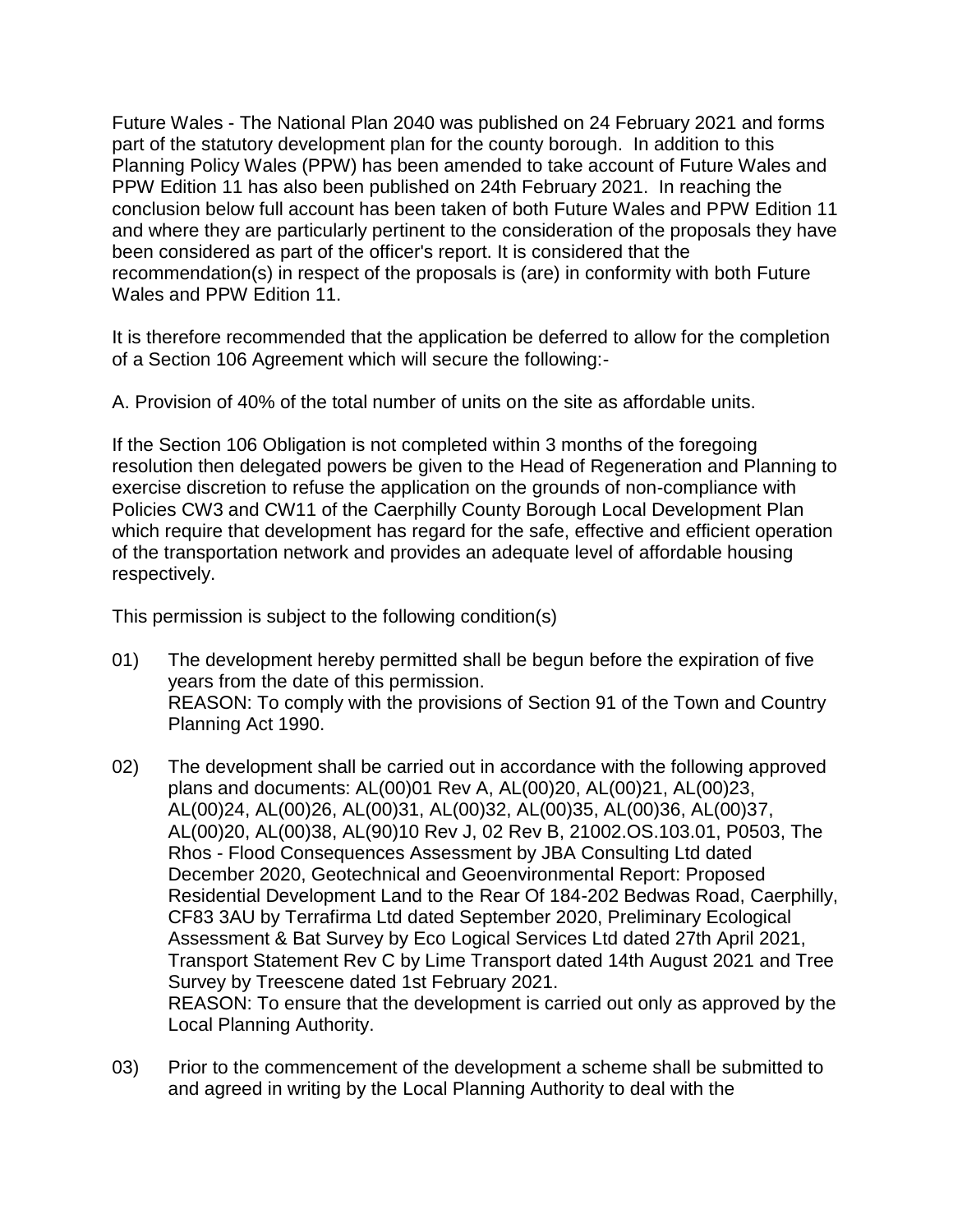Future Wales - The National Plan 2040 was published on 24 February 2021 and forms part of the statutory development plan for the county borough. In addition to this Planning Policy Wales (PPW) has been amended to take account of Future Wales and PPW Edition 11 has also been published on 24th February 2021. In reaching the conclusion below full account has been taken of both Future Wales and PPW Edition 11 and where they are particularly pertinent to the consideration of the proposals they have been considered as part of the officer's report. It is considered that the recommendation(s) in respect of the proposals is (are) in conformity with both Future Wales and PPW Edition 11.

It is therefore recommended that the application be deferred to allow for the completion of a Section 106 Agreement which will secure the following:-

A. Provision of 40% of the total number of units on the site as affordable units.

If the Section 106 Obligation is not completed within 3 months of the foregoing resolution then delegated powers be given to the Head of Regeneration and Planning to exercise discretion to refuse the application on the grounds of non-compliance with Policies CW3 and CW11 of the Caerphilly County Borough Local Development Plan which require that development has regard for the safe, effective and efficient operation of the transportation network and provides an adequate level of affordable housing respectively.

This permission is subject to the following condition(s)

- 01) The development hereby permitted shall be begun before the expiration of five years from the date of this permission. REASON: To comply with the provisions of Section 91 of the Town and Country Planning Act 1990.
- 02) The development shall be carried out in accordance with the following approved plans and documents: AL(00)01 Rev A, AL(00)20, AL(00)21, AL(00)23, AL(00)24, AL(00)26, AL(00)31, AL(00)32, AL(00)35, AL(00)36, AL(00)37, AL(00)20, AL(00)38, AL(90)10 Rev J, 02 Rev B, 21002.OS.103.01, P0503, The Rhos - Flood Consequences Assessment by JBA Consulting Ltd dated December 2020, Geotechnical and Geoenvironmental Report: Proposed Residential Development Land to the Rear Of 184-202 Bedwas Road, Caerphilly, CF83 3AU by Terrafirma Ltd dated September 2020, Preliminary Ecological Assessment & Bat Survey by Eco Logical Services Ltd dated 27th April 2021, Transport Statement Rev C by Lime Transport dated 14th August 2021 and Tree Survey by Treescene dated 1st February 2021. REASON: To ensure that the development is carried out only as approved by the Local Planning Authority.
- 03) Prior to the commencement of the development a scheme shall be submitted to and agreed in writing by the Local Planning Authority to deal with the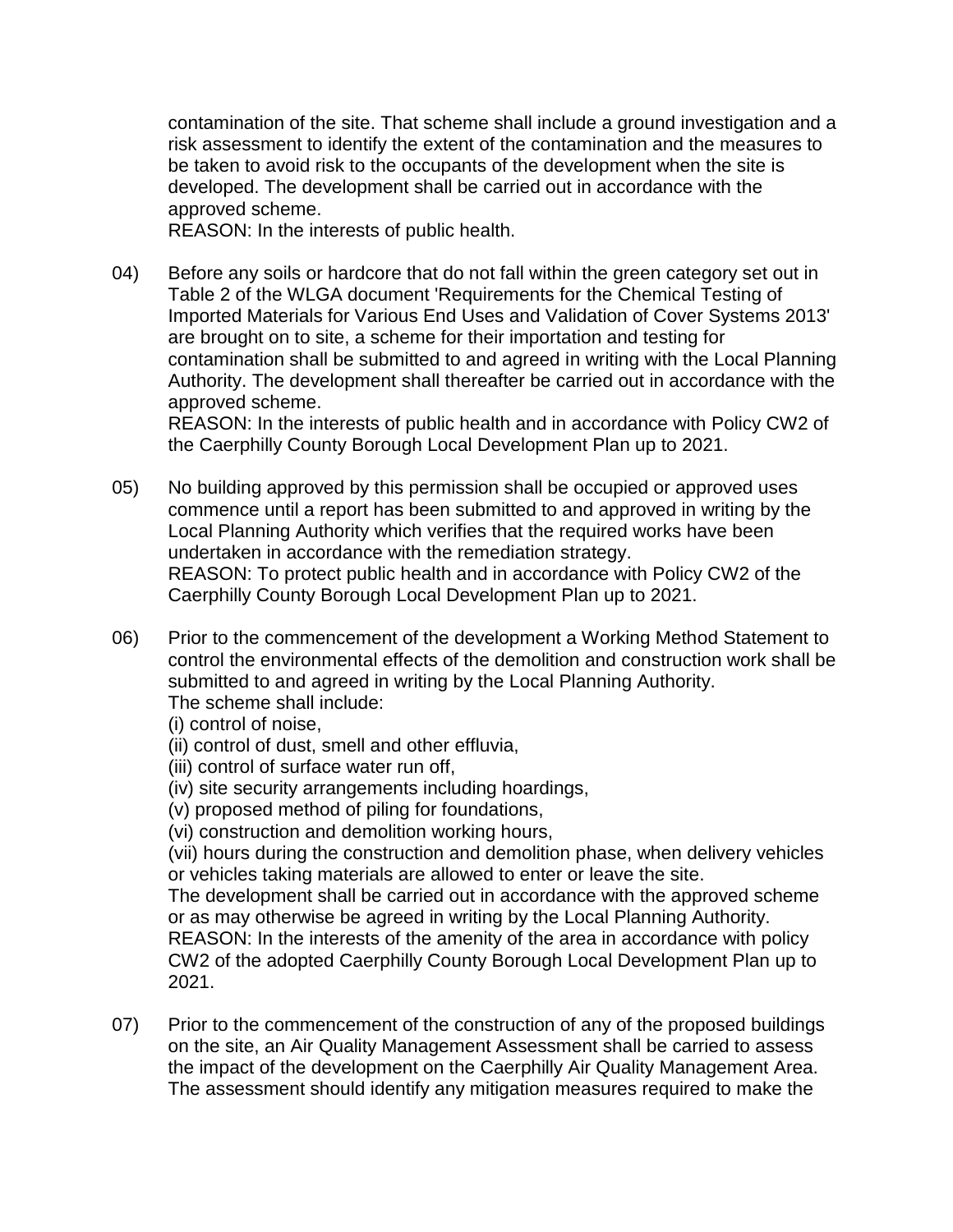contamination of the site. That scheme shall include a ground investigation and a risk assessment to identify the extent of the contamination and the measures to be taken to avoid risk to the occupants of the development when the site is developed. The development shall be carried out in accordance with the approved scheme.

REASON: In the interests of public health.

04) Before any soils or hardcore that do not fall within the green category set out in Table 2 of the WLGA document 'Requirements for the Chemical Testing of Imported Materials for Various End Uses and Validation of Cover Systems 2013' are brought on to site, a scheme for their importation and testing for contamination shall be submitted to and agreed in writing with the Local Planning Authority. The development shall thereafter be carried out in accordance with the approved scheme.

REASON: In the interests of public health and in accordance with Policy CW2 of the Caerphilly County Borough Local Development Plan up to 2021.

- 05) No building approved by this permission shall be occupied or approved uses commence until a report has been submitted to and approved in writing by the Local Planning Authority which verifies that the required works have been undertaken in accordance with the remediation strategy. REASON: To protect public health and in accordance with Policy CW2 of the Caerphilly County Borough Local Development Plan up to 2021.
- 06) Prior to the commencement of the development a Working Method Statement to control the environmental effects of the demolition and construction work shall be submitted to and agreed in writing by the Local Planning Authority. The scheme shall include:

(i) control of noise,

- (ii) control of dust, smell and other effluvia,
- (iii) control of surface water run off,
- (iv) site security arrangements including hoardings,

(v) proposed method of piling for foundations,

(vi) construction and demolition working hours,

(vii) hours during the construction and demolition phase, when delivery vehicles or vehicles taking materials are allowed to enter or leave the site.

The development shall be carried out in accordance with the approved scheme or as may otherwise be agreed in writing by the Local Planning Authority. REASON: In the interests of the amenity of the area in accordance with policy CW2 of the adopted Caerphilly County Borough Local Development Plan up to 2021.

07) Prior to the commencement of the construction of any of the proposed buildings on the site, an Air Quality Management Assessment shall be carried to assess the impact of the development on the Caerphilly Air Quality Management Area. The assessment should identify any mitigation measures required to make the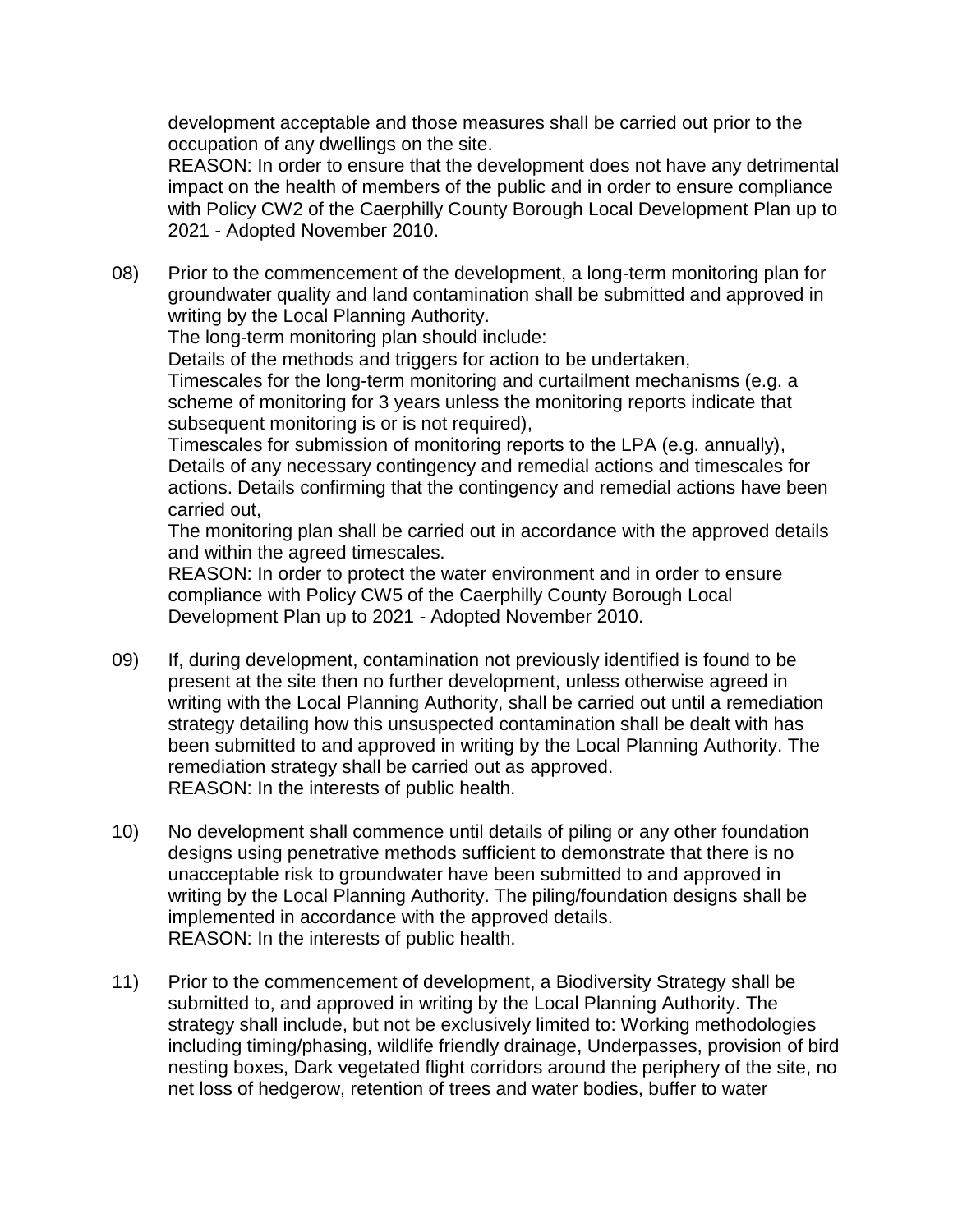development acceptable and those measures shall be carried out prior to the occupation of any dwellings on the site.

REASON: In order to ensure that the development does not have any detrimental impact on the health of members of the public and in order to ensure compliance with Policy CW2 of the Caerphilly County Borough Local Development Plan up to 2021 - Adopted November 2010.

08) Prior to the commencement of the development, a long-term monitoring plan for groundwater quality and land contamination shall be submitted and approved in writing by the Local Planning Authority.

The long-term monitoring plan should include:

Details of the methods and triggers for action to be undertaken, Timescales for the long-term monitoring and curtailment mechanisms (e.g. a scheme of monitoring for 3 years unless the monitoring reports indicate that subsequent monitoring is or is not required),

Timescales for submission of monitoring reports to the LPA (e.g. annually), Details of any necessary contingency and remedial actions and timescales for actions. Details confirming that the contingency and remedial actions have been carried out,

The monitoring plan shall be carried out in accordance with the approved details and within the agreed timescales.

REASON: In order to protect the water environment and in order to ensure compliance with Policy CW5 of the Caerphilly County Borough Local Development Plan up to 2021 - Adopted November 2010.

- 09) If, during development, contamination not previously identified is found to be present at the site then no further development, unless otherwise agreed in writing with the Local Planning Authority, shall be carried out until a remediation strategy detailing how this unsuspected contamination shall be dealt with has been submitted to and approved in writing by the Local Planning Authority. The remediation strategy shall be carried out as approved. REASON: In the interests of public health.
- 10) No development shall commence until details of piling or any other foundation designs using penetrative methods sufficient to demonstrate that there is no unacceptable risk to groundwater have been submitted to and approved in writing by the Local Planning Authority. The piling/foundation designs shall be implemented in accordance with the approved details. REASON: In the interests of public health.
- 11) Prior to the commencement of development, a Biodiversity Strategy shall be submitted to, and approved in writing by the Local Planning Authority. The strategy shall include, but not be exclusively limited to: Working methodologies including timing/phasing, wildlife friendly drainage, Underpasses, provision of bird nesting boxes, Dark vegetated flight corridors around the periphery of the site, no net loss of hedgerow, retention of trees and water bodies, buffer to water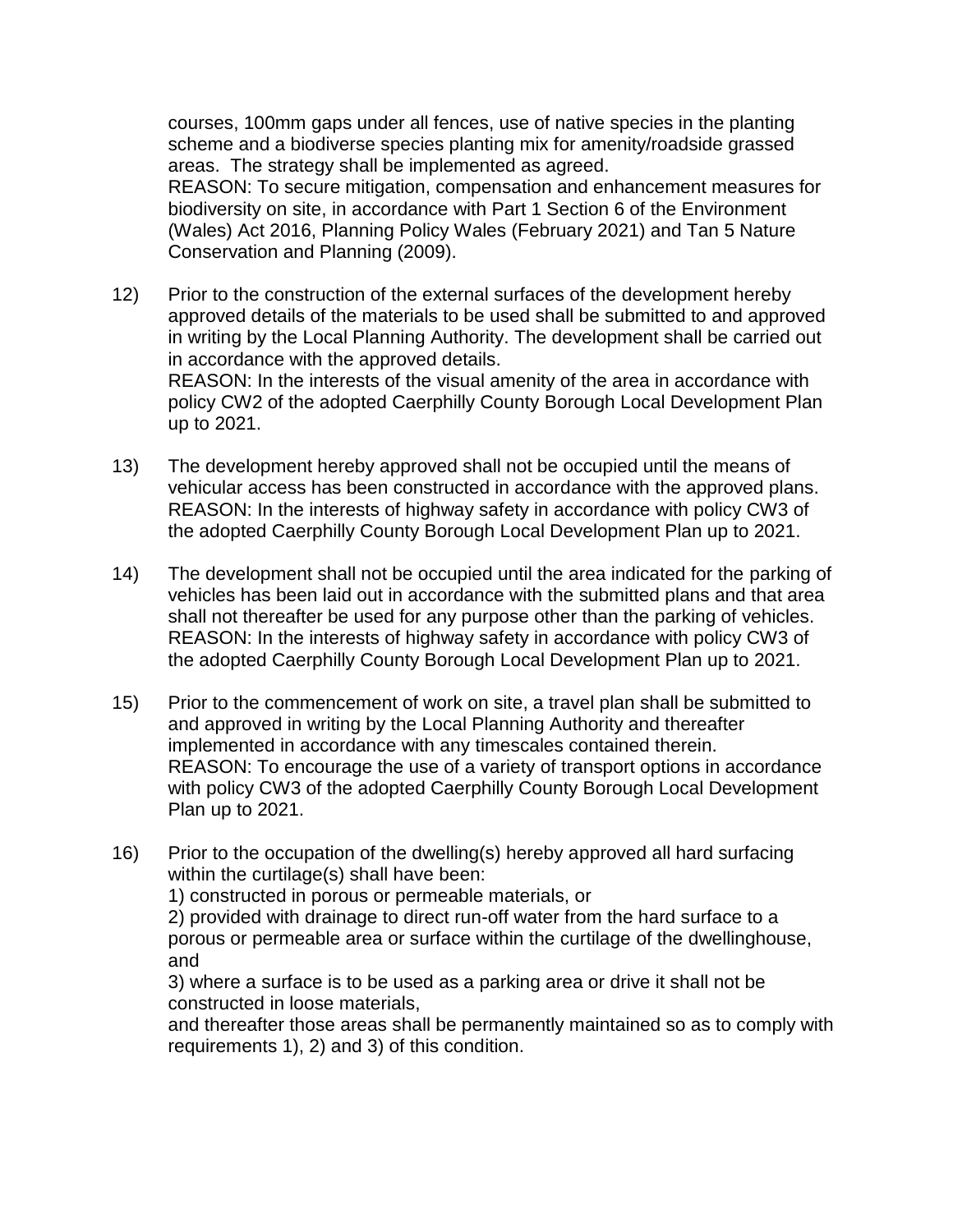courses, 100mm gaps under all fences, use of native species in the planting scheme and a biodiverse species planting mix for amenity/roadside grassed areas. The strategy shall be implemented as agreed.

REASON: To secure mitigation, compensation and enhancement measures for biodiversity on site, in accordance with Part 1 Section 6 of the Environment (Wales) Act 2016, Planning Policy Wales (February 2021) and Tan 5 Nature Conservation and Planning (2009).

12) Prior to the construction of the external surfaces of the development hereby approved details of the materials to be used shall be submitted to and approved in writing by the Local Planning Authority. The development shall be carried out in accordance with the approved details. REASON: In the interests of the visual amenity of the area in accordance with policy CW2 of the adopted Caerphilly County Borough Local Development Plan

up to 2021.

- 13) The development hereby approved shall not be occupied until the means of vehicular access has been constructed in accordance with the approved plans. REASON: In the interests of highway safety in accordance with policy CW3 of the adopted Caerphilly County Borough Local Development Plan up to 2021.
- 14) The development shall not be occupied until the area indicated for the parking of vehicles has been laid out in accordance with the submitted plans and that area shall not thereafter be used for any purpose other than the parking of vehicles. REASON: In the interests of highway safety in accordance with policy CW3 of the adopted Caerphilly County Borough Local Development Plan up to 2021.
- 15) Prior to the commencement of work on site, a travel plan shall be submitted to and approved in writing by the Local Planning Authority and thereafter implemented in accordance with any timescales contained therein. REASON: To encourage the use of a variety of transport options in accordance with policy CW3 of the adopted Caerphilly County Borough Local Development Plan up to 2021.
- 16) Prior to the occupation of the dwelling(s) hereby approved all hard surfacing within the curtilage(s) shall have been:

1) constructed in porous or permeable materials, or

2) provided with drainage to direct run-off water from the hard surface to a porous or permeable area or surface within the curtilage of the dwellinghouse, and

3) where a surface is to be used as a parking area or drive it shall not be constructed in loose materials,

and thereafter those areas shall be permanently maintained so as to comply with requirements 1), 2) and 3) of this condition.